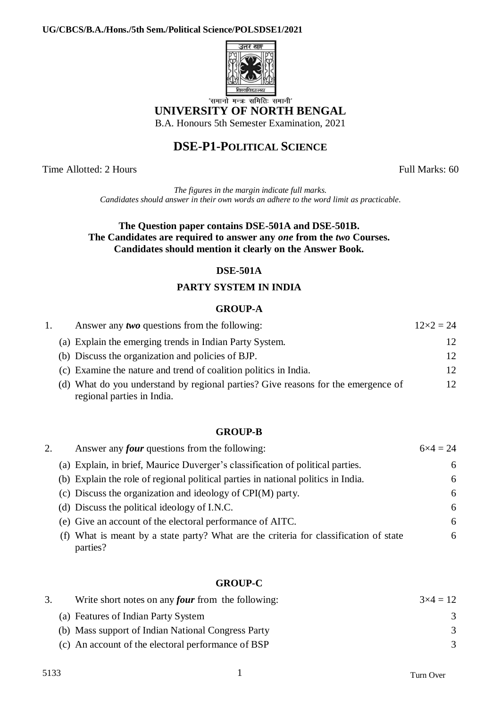#### **UG/CBCS/B.A./Hons./5th Sem./Political Science/POLSDSE1/2021**



**UNIVERSITY OF NORTH BENGAL**

B.A. Honours 5th Semester Examination, 2021

# **DSE-P1-POLITICAL SCIENCE**

Time Allotted: 2 Hours Full Marks: 60

*The figures in the margin indicate full marks. Candidates should answer in their own words an adhere to the word limit as practicable*.

#### **The Question paper contains DSE-501A and DSE-501B. The Candidates are required to answer any** *one* **from the** *two* **Courses. Candidates should mention it clearly on the Answer Book.**

# **DSE-501A**

### **PARTY SYSTEM IN INDIA**

#### **GROUP-A**

|  | Answer any <i>two</i> questions from the following:                                                             | $12 \times 2 = 24$ |
|--|-----------------------------------------------------------------------------------------------------------------|--------------------|
|  | (a) Explain the emerging trends in Indian Party System.                                                         | 12                 |
|  | (b) Discuss the organization and policies of BJP.                                                               | 12                 |
|  | (c) Examine the nature and trend of coalition politics in India.                                                | 12                 |
|  | (d) What do you understand by regional parties? Give reasons for the emergence of<br>regional parties in India. | 12 <sub>1</sub>    |

#### **GROUP-B**

| Answer any <i>four</i> questions from the following:                                              | $6x4 = 24$ |
|---------------------------------------------------------------------------------------------------|------------|
| (a) Explain, in brief, Maurice Duverger's classification of political parties.                    | 6          |
| (b) Explain the role of regional political parties in national politics in India.                 | 6          |
| (c) Discuss the organization and ideology of CPI(M) party.                                        | 6          |
| (d) Discuss the political ideology of I.N.C.                                                      | 6          |
| (e) Give an account of the electoral performance of AITC.                                         | 6          |
| (f) What is meant by a state party? What are the criteria for classification of state<br>parties? | 6          |

### **GROUP-C**

| Write short notes on any <i>four</i> from the following: | $3\times4=12$ |
|----------------------------------------------------------|---------------|
| (a) Features of Indian Party System                      | 3             |
| (b) Mass support of Indian National Congress Party       | $\mathcal{R}$ |
| (c) An account of the electoral performance of BSP       | $\mathcal{R}$ |